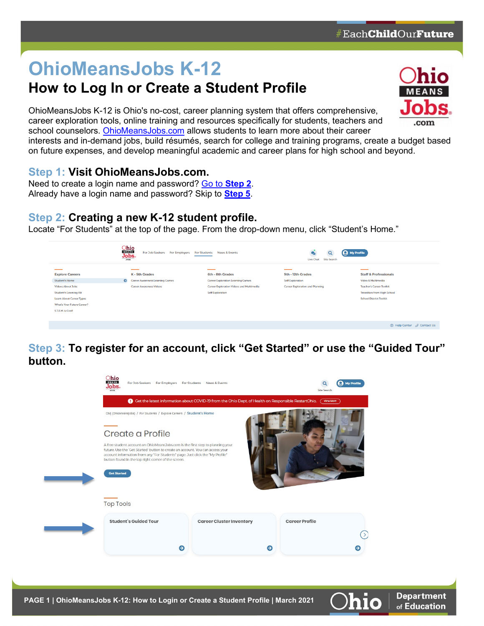# **OhioMeansJobs K-12**

## **How to Log In or Create a Student Profile**

OhioMeansJobs K-12 is Ohio's no-cost, career planning system that offers comprehensive, career exploration tools, online training and resources specifically for students, teachers and school counselors. [OhioMeansJobs.com](https://ohiomeansjobs.ohio.gov/wps/portal/gov/omj/for-students/explore-careers/student-home) allows students to learn more about their career



⊙ Help Center ∂ Contact Us

**Department** of Education

interests and in-demand jobs, build résumés, search for college and training programs, create a budget based on future expenses, and develop meaningful academic and career plans for high school and beyond.

#### **Step 1: Visit [OhioMeansJobs.com.](https://ohiomeansjobs.ohio.gov/wps/portal/gov/omj/for-students/explore-careers/student-home)**

Need to create a login name and password? Go to **[Step 2](#page-0-0)**. Already have a login name and password? Skip to **[Step 5](#page-4-0)**.

#### <span id="page-0-0"></span>**Step 2: Creating a new K-12 student profile.**

Locate "For Students" at the top of the page. From the drop-down menu, click "Student's Home."

|                                   | Ohio<br><b>MEANS</b><br>For Job Seekers For Employers<br>Jobs.<br>.com | For Students News & Events                      | Q<br>Live Chat<br><b>Site Search</b>   | (C) My Profile                     |
|-----------------------------------|------------------------------------------------------------------------|-------------------------------------------------|----------------------------------------|------------------------------------|
| ___                               |                                                                        | ___                                             | __                                     | ____                               |
| <b>Explore Careers</b>            | K - 5th Grades                                                         | 6th - 8th Grades                                | 9th - 12th Grades                      | <b>Staff &amp; Professionals</b>   |
| Student's Home                    | $\bullet$<br><b>Career Awareness Learning Games</b>                    | <b>Career Exploration Learning Games</b>        | <b>Self Exploration</b>                | Video & Multimedia                 |
| <b>Videos About Jobs</b>          | <b>Career Awareness Videos</b>                                         | <b>Career Exploration Videos and Multimedia</b> | <b>Career Exploration and Planning</b> | <b>Teacher's Career Toolkit</b>    |
| <b>Student's Learning Kit</b>     |                                                                        | <b>Self Exploration</b>                         |                                        | <b>Transition from High School</b> |
| <b>Learn About Career Types</b>   |                                                                        |                                                 |                                        | <b>School District Toolkit</b>     |
| <b>What's Your Future Career?</b> |                                                                        |                                                 |                                        |                                    |
| S.T.E.M. is Cool!                 |                                                                        |                                                 |                                        |                                    |
|                                   |                                                                        |                                                 |                                        |                                    |

**Step 3: To register for an account, click "Get Started" or use the "Guided Tour" button.**

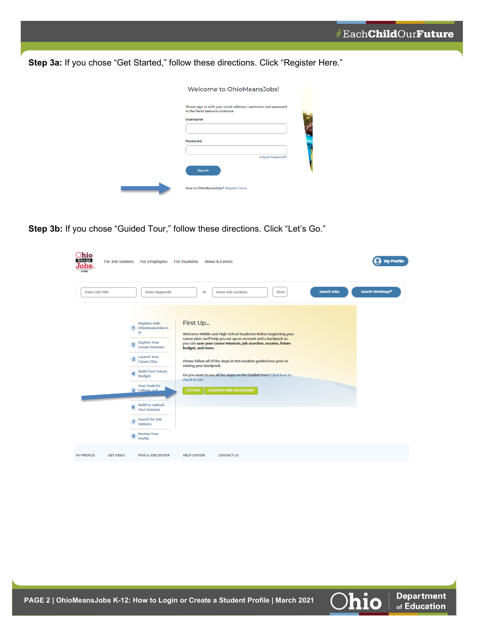**Department** 

of Education

hio

**Step 3a:** If you chose "Get Started," follow these directions. Click "Register Here."

| Welcome to OhioMeansJobs!                                                                                             |  |
|-----------------------------------------------------------------------------------------------------------------------|--|
| Please sign in with your email address / username and password<br>in the fields below to continue.<br><b>Username</b> |  |
| <b>Password</b><br>Forgot Password?                                                                                   |  |
| Sign In                                                                                                               |  |
| New to OhioMeansJobs? Register Here                                                                                   |  |

**Step 3b:** If you chose "Guided Tour," follow these directions. Click "Let's Go."

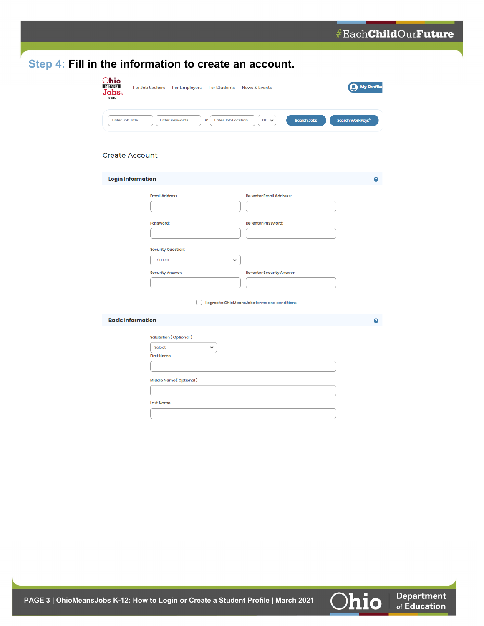|                                            | Step 4: Fill in the information to create an account.                        |                                                |                              |
|--------------------------------------------|------------------------------------------------------------------------------|------------------------------------------------|------------------------------|
| $O$ hio<br>$\mathbf{Jobs}_{\circ}$<br>.com | <b>For Job Seekers</b><br><b>For Employers</b><br>For Students News & Events |                                                | $\mathbf Q$ My Profile       |
| <b>Enter Job Title</b>                     | in<br><b>Enter Job Location</b><br><b>Enter Keywords</b>                     | OH V<br><b>Search Jobs</b>                     | Search WorkKeys <sup>®</sup> |
| <b>Create Account</b>                      |                                                                              |                                                |                              |
| <b>Login Information</b>                   |                                                                              |                                                | ❸                            |
|                                            | <b>Email Address</b>                                                         | <b>Re-enter Email Address:</b>                 |                              |
|                                            | Password:                                                                    | <b>Re-enter Password:</b>                      |                              |
|                                            | <b>Security Question:</b><br>- SELECT-<br>v                                  |                                                |                              |
|                                            | <b>Security Answer:</b>                                                      | Re-enter Security Answer:                      |                              |
|                                            |                                                                              | I agree to OhioMeansJobs terms and conditions. |                              |
| <b>Basic Information</b>                   |                                                                              |                                                | $\bullet$                    |
|                                            | Salutation (Optional)<br>Select<br>v<br><b>First Name</b>                    |                                                |                              |
|                                            | Middle Name (Optional)                                                       |                                                |                              |
|                                            | <b>Last Name</b>                                                             |                                                |                              |
|                                            |                                                                              |                                                |                              |

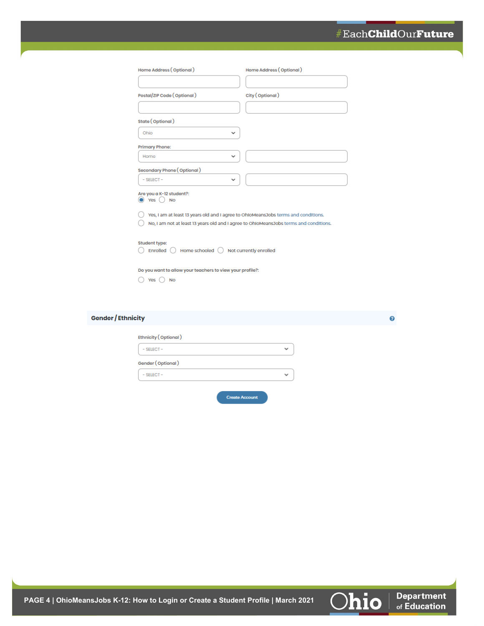#### #EachChildOurFuture

Ø

**Department**<br>of Education

Ohio

| Home Address (Optional)                                                               | Home Address (Optional) |
|---------------------------------------------------------------------------------------|-------------------------|
|                                                                                       |                         |
| Postal/ZIP Code (Optional)                                                            | City (Optional)         |
|                                                                                       |                         |
| State (Optional)                                                                      |                         |
| Ohio<br>v                                                                             |                         |
| <b>Primary Phone:</b>                                                                 |                         |
| Home                                                                                  |                         |
| Secondary Phone (Optional)                                                            |                         |
| - SELECT-                                                                             |                         |
| Are you a K-12 student?:<br>Yes<br><b>No</b>                                          |                         |
| Yes, I am at least 13 years old and I agree to OhloMeansJobs terms and conditions.    |                         |
| No, I am not at least 13 years old and I agree to OhIoMeansJobs terms and conditions. |                         |
| <b>Student type:</b><br>Home schooled () Not currently enrolled<br>Enrolled           |                         |
| Do you want to allow your teachers to view your profile?:                             |                         |
| Yes<br><b>No</b>                                                                      |                         |

#### Gender / Ethnicity

| Ethnicity (Optional) |  |
|----------------------|--|
| $-$ SELECT $-$       |  |
| Gender (Optional)    |  |
| $-$ SELECT $-$       |  |

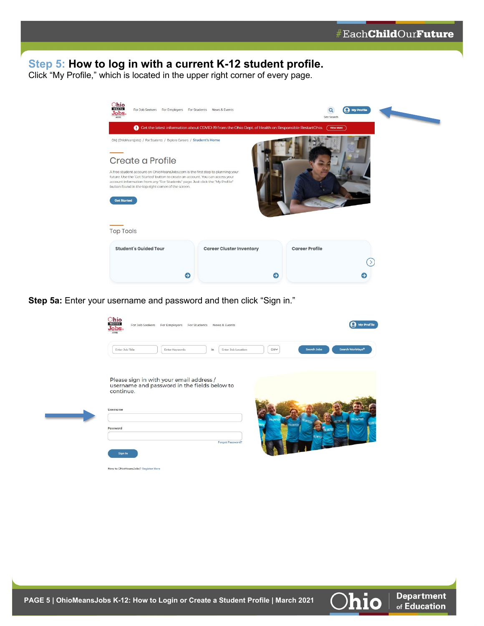### <span id="page-4-0"></span>**Step 5: How to log in with a current K-12 student profile.**

Click "My Profile," which is located in the upper right corner of every page.

| Ohio<br><b>MEANS</b><br>For Job Seekers<br>For Employers For Students News & Events<br>$J$ o $bso$<br>.com                                                                                                                                                                                               |                                                                                                              | Site Search           | $\Omega$ My Profile | <u> and the contract of the contract of the contract of the contract of the contract of the contract of the contract of the contract of the contract of the contract of the contract of the contract of the contract of the cont</u> |
|----------------------------------------------------------------------------------------------------------------------------------------------------------------------------------------------------------------------------------------------------------------------------------------------------------|--------------------------------------------------------------------------------------------------------------|-----------------------|---------------------|--------------------------------------------------------------------------------------------------------------------------------------------------------------------------------------------------------------------------------------|
|                                                                                                                                                                                                                                                                                                          | <b>e</b> Get the latest information about COVID-19 from the Ohio Dept. of Health on Responsible RestartOhio. | (View More            |                     |                                                                                                                                                                                                                                      |
| OMJ (OhioMeansJobs) / For Students / Explore Careers / Student's Home<br>Create a Profile                                                                                                                                                                                                                |                                                                                                              |                       |                     |                                                                                                                                                                                                                                      |
| A free student account on OhioMeansJobs.com is the first step to planning your<br>future. Use the 'Get Started' button to create an account. You can access your<br>account information from any "For Students" page. Just click the "My Profile"<br>button found in the top right corner of the screen. |                                                                                                              |                       |                     |                                                                                                                                                                                                                                      |
| <b>Get Started</b>                                                                                                                                                                                                                                                                                       |                                                                                                              |                       |                     |                                                                                                                                                                                                                                      |
| <b>Top Tools</b>                                                                                                                                                                                                                                                                                         |                                                                                                              |                       |                     |                                                                                                                                                                                                                                      |
| <b>Student's Guided Tour</b>                                                                                                                                                                                                                                                                             | <b>Career Cluster Inventory</b>                                                                              | <b>Career Profile</b> |                     |                                                                                                                                                                                                                                      |
| Э                                                                                                                                                                                                                                                                                                        | Э                                                                                                            |                       | ⊖                   |                                                                                                                                                                                                                                      |

**Step 5a:** Enter your username and password and then click "Sign in."

| Enter Job Title | Enter Keywords                               | Enter Job Location<br>in. | OHV             | Search WorkKeys <sup>®</sup><br>Search Jobs |
|-----------------|----------------------------------------------|---------------------------|-----------------|---------------------------------------------|
|                 | Please sign in with your email address /     |                           |                 |                                             |
| continue.       | username and password in the fields below to |                           |                 |                                             |
| Usemame         |                                              |                           |                 |                                             |
|                 |                                              |                           |                 | <b>VOLUNTEER</b><br><b>NIVET!</b>           |
| Password        |                                              |                           | <b>OLUMTEE!</b> |                                             |



**Department** 

of Education